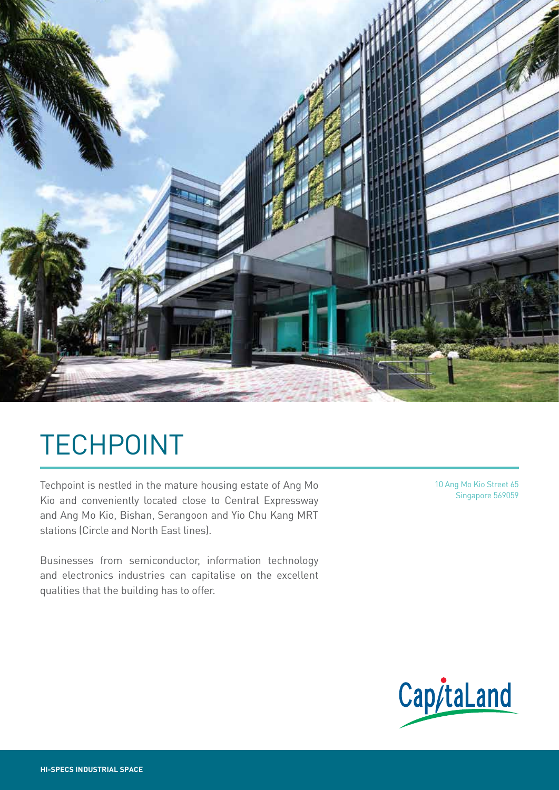

# TECHPOINT

Techpoint is nestled in the mature housing estate of Ang Mo Kio and conveniently located close to Central Expressway and Ang Mo Kio, Bishan, Serangoon and Yio Chu Kang MRT stations (Circle and North East lines).

Businesses from semiconductor, information technology and electronics industries can capitalise on the excellent qualities that the building has to offer.

10 Ang Mo Kio Street 65 Singapore 569059